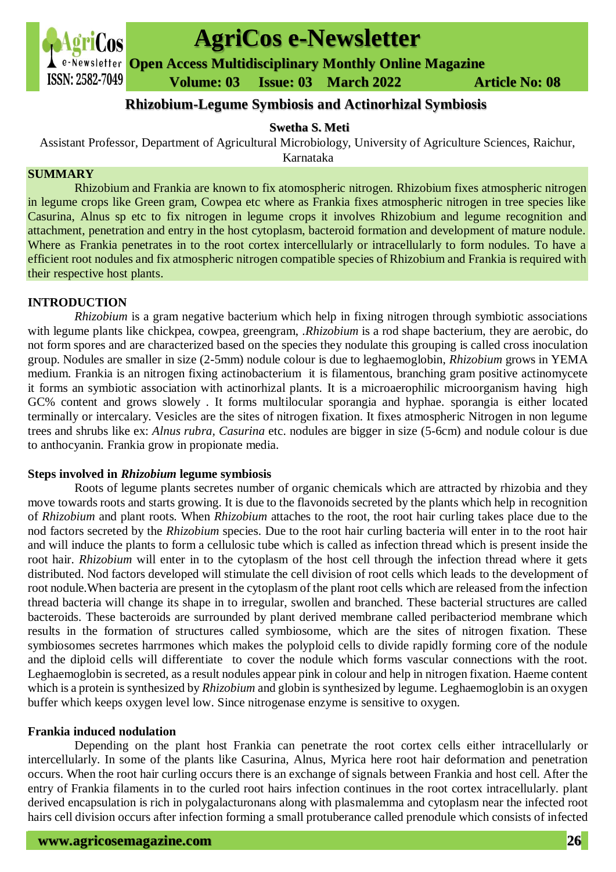

# **AgriCos e-Newsletter**

**Open Access Multidisciplinary Monthly Online Magazine**

 **Volume: 03 Issue: 03 March 2022 Article No: 08**

# **Rhizobium-Legume Symbiosis and Actinorhizal Symbiosis**

# **Swetha S. Meti**

Assistant Professor, Department of Agricultural Microbiology, University of Agriculture Sciences, Raichur,

Karnataka

#### **SUMMARY**

Rhizobium and Frankia are known to fix atomospheric nitrogen. Rhizobium fixes atmospheric nitrogen in legume crops like Green gram, Cowpea etc where as Frankia fixes atmospheric nitrogen in tree species like Casurina, Alnus sp etc to fix nitrogen in legume crops it involves Rhizobium and legume recognition and attachment, penetration and entry in the host cytoplasm, bacteroid formation and development of mature nodule. Where as Frankia penetrates in to the root cortex intercellularly or intracellularly to form nodules. To have a efficient root nodules and fix atmospheric nitrogen compatible species of Rhizobium and Frankia is required with their respective host plants.

# **INTRODUCTION**

*Rhizobium* is a gram negative bacterium which help in fixing nitrogen through symbiotic associations with legume plants like chickpea, cowpea, greengram, .*Rhizobium* is a rod shape bacterium, they are aerobic, do not form spores and are characterized based on the species they nodulate this grouping is called cross inoculation group. Nodules are smaller in size (2-5mm) nodule colour is due to leghaemoglobin, *Rhizobium* grows in YEMA medium. Frankia is an nitrogen fixing actinobacterium it is filamentous, branching gram positive actinomycete it forms an symbiotic association with actinorhizal plants. It is a microaerophilic microorganism having high GC% content and grows slowely . It forms multilocular sporangia and hyphae. sporangia is either located terminally or intercalary. Vesicles are the sites of nitrogen fixation. It fixes atmospheric Nitrogen in non legume trees and shrubs like ex: *Alnus rubra, Casurina* etc. nodules are bigger in size (5-6cm) and nodule colour is due to anthocyanin. Frankia grow in propionate media.

#### **Steps involved in** *Rhizobium* **legume symbiosis**

Roots of legume plants secretes number of organic chemicals which are attracted by rhizobia and they move towards roots and starts growing. It is due to the flavonoids secreted by the plants which help in recognition of *Rhizobium* and plant roots. When *Rhizobium* attaches to the root, the root hair curling takes place due to the nod factors secreted by the *Rhizobium* species. Due to the root hair curling bacteria will enter in to the root hair and will induce the plants to form a cellulosic tube which is called as infection thread which is present inside the root hair. *Rhizobium* will enter in to the cytoplasm of the host cell through the infection thread where it gets distributed. Nod factors developed will stimulate the cell division of root cells which leads to the development of root nodule.When bacteria are present in the cytoplasm of the plant root cells which are released from the infection thread bacteria will change its shape in to irregular, swollen and branched. These bacterial structures are called bacteroids. These bacteroids are surrounded by plant derived membrane called peribacteriod membrane which results in the formation of structures called symbiosome, which are the sites of nitrogen fixation. These symbiosomes secretes harrmones which makes the polyploid cells to divide rapidly forming core of the nodule and the diploid cells will differentiate to cover the nodule which forms vascular connections with the root. Leghaemoglobin is secreted, as a result nodules appear pink in colour and help in nitrogen fixation. Haeme content which is a protein is synthesized by *Rhizobium* and globin is synthesized by legume. Leghaemoglobin is an oxygen buffer which keeps oxygen level low. Since nitrogenase enzyme is sensitive to oxygen.

#### **Frankia induced nodulation**

Depending on the plant host Frankia can penetrate the root cortex cells either intracellularly or intercellularly. In some of the plants like Casurina, Alnus, Myrica here root hair deformation and penetration occurs. When the root hair curling occurs there is an exchange of signals between Frankia and host cell. After the entry of Frankia filaments in to the curled root hairs infection continues in the root cortex intracellularly. plant derived encapsulation is rich in polygalacturonans along with plasmalemma and cytoplasm near the infected root hairs cell division occurs after infection forming a small protuberance called prenodule which consists of infected